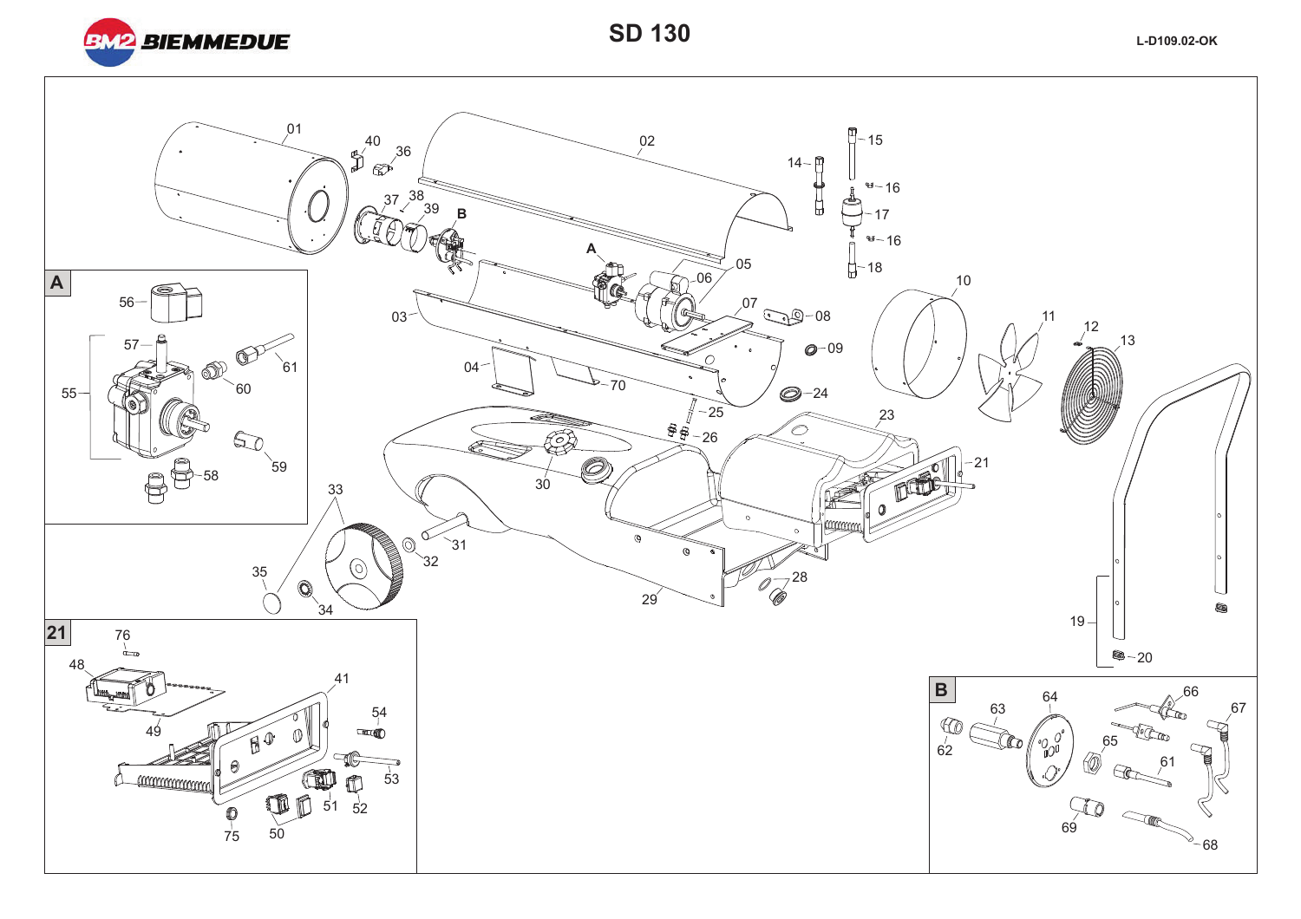

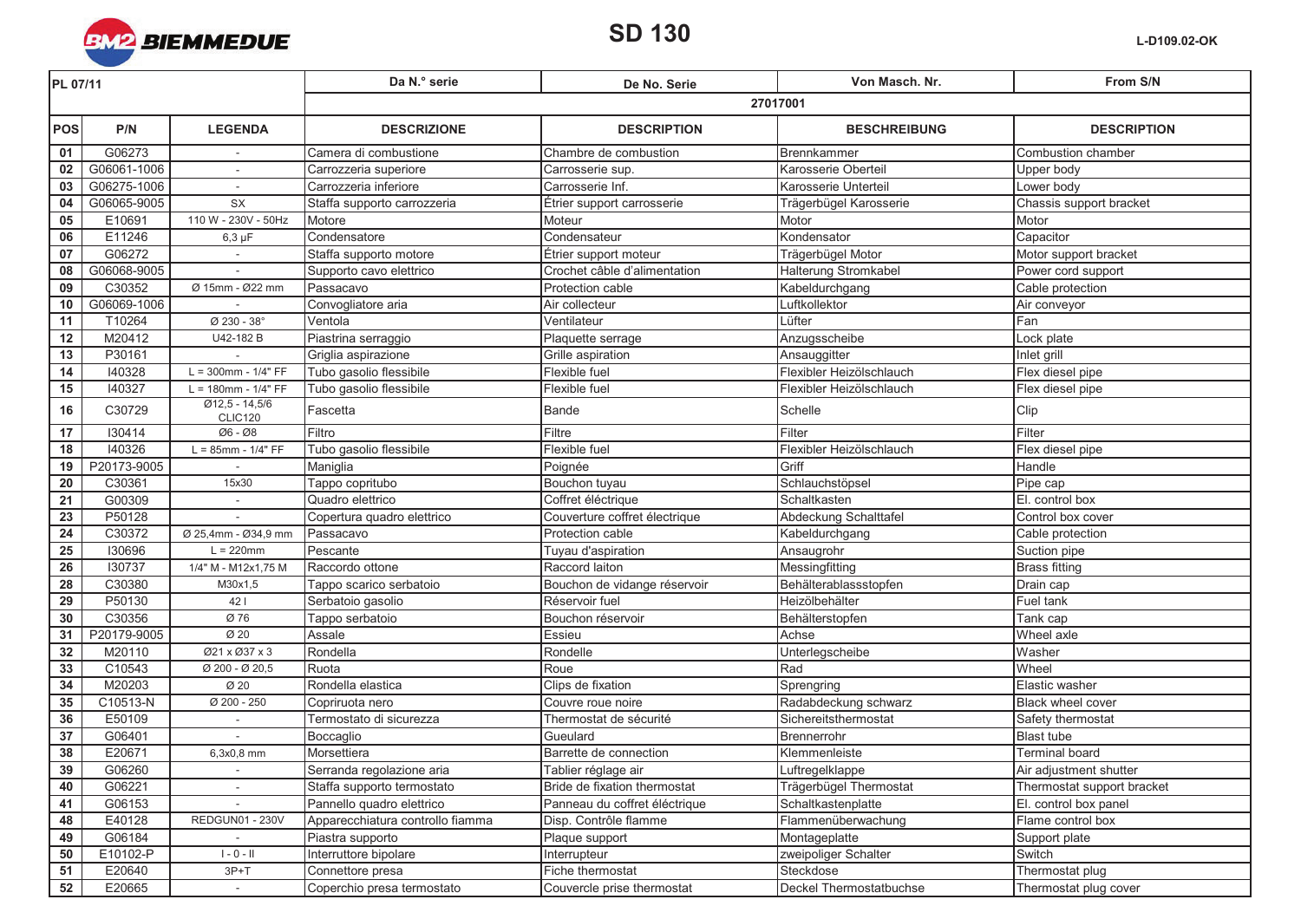

| PL 07/11        |             |                                             | Da N.º serie                     | De No. Serie                  | Von Masch, Nr.           | From S/N                   |  |
|-----------------|-------------|---------------------------------------------|----------------------------------|-------------------------------|--------------------------|----------------------------|--|
|                 |             |                                             | 27017001                         |                               |                          |                            |  |
| <b>POS</b>      | P/N         | <b>LEGENDA</b>                              | <b>DESCRIZIONE</b>               | <b>DESCRIPTION</b>            | <b>BESCHREIBUNG</b>      | <b>DESCRIPTION</b>         |  |
| 01              | G06273      |                                             | Camera di combustione            | Chambre de combustion         | Brennkammer              | Combustion chamber         |  |
| 02              | G06061-1006 |                                             | Carrozzeria superiore            | Carrosserie sup.              | Karosserie Oberteil      | Upper body                 |  |
| 03              | G06275-1006 | $\sim$                                      | Carrozzeria inferiore            | Carrosserie Inf.              | Karosserie Unterteil     | Lower body                 |  |
| 04              | G06065-9005 | <b>SX</b>                                   | Staffa supporto carrozzeria      | Étrier support carrosserie    | Trägerbügel Karosserie   | Chassis support bracket    |  |
| 05              | E10691      | 110 W - 230V - 50Hz                         | Motore                           | Moteur                        | Motor                    | Motor                      |  |
| 06              | E11246      | $6,3 \mu F$                                 | Condensatore                     | Condensateur                  | Kondensator              | Capacitor                  |  |
| 07              | G06272      |                                             | Staffa supporto motore           | Étrier support moteur         | Trägerbügel Motor        | Motor support bracket      |  |
| 08              | G06068-9005 |                                             | Supporto cavo elettrico          | Crochet câble d'alimentation  | Halterung Stromkabel     | Power cord support         |  |
| 09              | C30352      | Ø 15mm - Ø22 mm                             | Passacavo                        | Protection cable              | Kabeldurchgang           | Cable protection           |  |
| 10              | G06069-1006 |                                             | Convogliatore aria               | Air collecteur                | Luftkollektor            | Air conveyor               |  |
| 11              | T10264      | Ø 230 - 38°                                 | Ventola                          | Ventilateur                   | Lüfter                   | Fan                        |  |
| 12              | M20412      | U42-182 B                                   | Piastrina serraggio              | Plaquette serrage             | Anzugsscheibe            | Lock plate                 |  |
| 13              | P30161      |                                             | Griglia aspirazione              | Grille aspiration             | Ansauggitter             | Inlet grill                |  |
| $\overline{14}$ | 140328      | $L = 300$ mm - 1/4" FF                      | Tubo gasolio flessibile          | Flexible fuel                 | Flexibler Heizölschlauch | Flex diesel pipe           |  |
| 15              | 140327      | $L = 180$ mm - $1/4" FF$                    | Tubo gasolio flessibile          | Flexible fuel                 | Flexibler Heizölschlauch | Flex diesel pipe           |  |
| 16              | C30729      | $Ø12,5 - 14,5/6$<br>CLIC120                 | Fascetta                         | <b>Bande</b>                  | Schelle                  | Clip                       |  |
| 17              | 130414      | Ø6 - Ø8                                     | Filtro                           | Filtre                        | Filter                   | Filter                     |  |
| 18              | 140326      | $L = 85$ mm - $1/4" FF$                     | Tubo gasolio flessibile          | Flexible fuel                 | Flexibler Heizölschlauch | Flex diesel pipe           |  |
| 19              | P20173-9005 |                                             | Maniglia                         | Poignée                       | Griff                    | Handle                     |  |
| $\overline{20}$ | C30361      | 15x30                                       | Tappo copritubo                  | Bouchon tuyau                 | Schlauchstöpsel          | Pipe cap                   |  |
| 21              | G00309      | $\sim$                                      | Quadro elettrico                 | Coffret éléctrique            | Schaltkasten             | El. control box            |  |
| $\overline{23}$ | P50128      |                                             | Copertura quadro elettrico       | Couverture coffret électrique | Abdeckung Schalttafel    | Control box cover          |  |
| ${\bf 24}$      | C30372      | Ø 25,4mm - Ø34,9 mm                         | Passacavo                        | Protection cable              | Kabeldurchgang           | Cable protection           |  |
| $\overline{25}$ | 130696      | $L = 220$ mm                                | Pescante                         | Tuyau d'aspiration            | Ansaugrohr               | Suction pipe               |  |
| 26              | 130737      | 1/4" M - M12x1,75 M                         | Raccordo ottone                  | Raccord laiton                | Messingfitting           | <b>Brass fitting</b>       |  |
| 28              | C30380      | M30x1,5                                     | Tappo scarico serbatoio          | Bouchon de vidange réservoir  | Behälterablassstopfen    | Drain cap                  |  |
| $\overline{29}$ | P50130      | 421                                         | Serbatoio gasolio                | Réservoir fuel                | Heizölbehälter           | Fuel tank                  |  |
| 30              | C30356      | Ø 76                                        | Tappo serbatoio                  | Bouchon réservoir             | Behälterstopfen          | Tank cap                   |  |
| 31              | P20179-9005 | Ø 20                                        | Assale                           | Essieu                        | Achse                    | Wheel axle                 |  |
| 32              | M20110      | Ø21 x Ø37 x 3                               | Rondella                         | Rondelle                      | Unterlegscheibe          | Washer                     |  |
| 33              | C10543      | $\varnothing$ 200 - $\varnothing$ 20,5      | Ruota                            | Roue                          | Rad                      | Wheel                      |  |
| 34              | M20203      | Ø 20                                        | Rondella elastica                | Clips de fixation             | Sprengring               | Elastic washer             |  |
| 35              | C10513-N    | $Ø$ 200 - 250                               | Copriruota nero                  | Couvre roue noire             | Radabdeckung schwarz     | <b>Black wheel cover</b>   |  |
| 36              | E50109      |                                             | Termostato di sicurezza          | Thermostat de sécurité        | Sichereitsthermostat     | Safety thermostat          |  |
| 37              | G06401      |                                             | Boccaglio                        | Gueulard                      | Brennerrohr              | <b>Blast tube</b>          |  |
| 38              | E20671      | 6,3x0,8 mm                                  | Morsettiera                      | Barrette de connection        | Klemmenleiste            | <b>Terminal board</b>      |  |
| 39              | G06260      | $\overline{\phantom{a}}$                    | Serranda regolazione aria        | Tablier réglage air           | Luftregelklappe          | Air adjustment shutter     |  |
| 40              | G06221      |                                             | Staffa supporto termostato       | Bride de fixation thermostat  | Trägerbügel Thermostat   | Thermostat support bracket |  |
| 41              | G06153      |                                             | Pannello quadro elettrico        | Panneau du coffret éléctrique | Schaltkastenplatte       | El. control box panel      |  |
| 48              | E40128      | REDGUN01 - 230V                             | Apparecchiatura controllo fiamma | Disp. Contrôle flamme         | Flammenüberwachung       | Flame control box          |  |
| 49              | G06184      |                                             | Piastra supporto                 | Plaque support                | Montageplatte            | Support plate              |  |
| 50              | E10102-P    | $\mathsf{I}$ - $\mathsf{O}$ - $\mathsf{II}$ | Interruttore bipolare            | Interrupteur                  | zweipoliger Schalter     | Switch                     |  |
| 51              | E20640      | $3P+T$                                      | Connettore presa                 | Fiche thermostat              | Steckdose                | Thermostat plug            |  |
| 52              | E20665      | $\sim$                                      | Coperchio presa termostato       | Couvercle prise thermostat    | Deckel Thermostatbuchse  | Thermostat plug cover      |  |